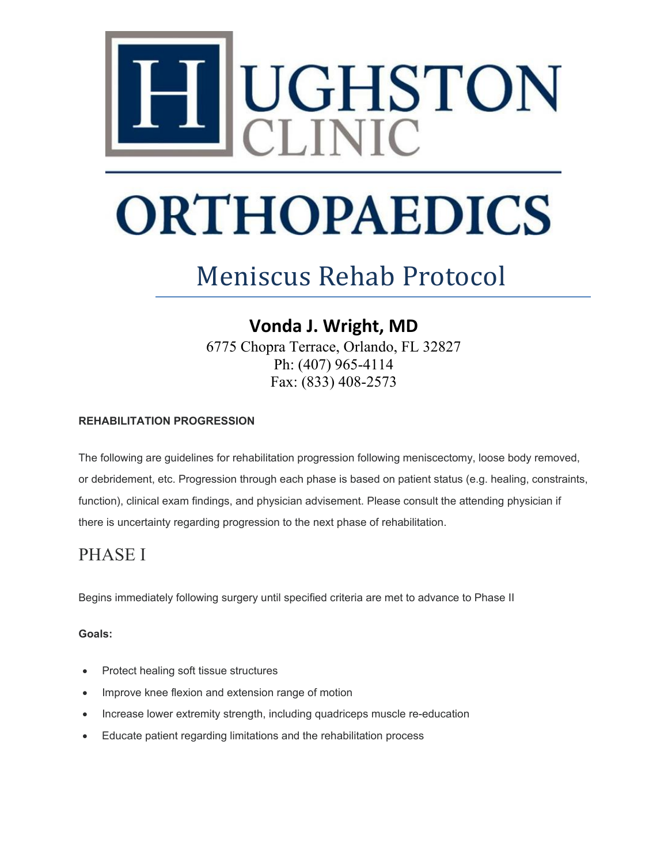

# **ORTHOPAEDICS**

## Meniscus Rehab Protocol

## **Vonda J. Wright, MD**

6775 Chopra Terrace, Orlando, FL 32827 Ph: (407) 965-4114 Fax: (833) 408-2573

#### **REHABILITATION PROGRESSION**

The following are guidelines for rehabilitation progression following meniscectomy, loose body removed, or debridement, etc. Progression through each phase is based on patient status (e.g. healing, constraints, function), clinical exam findings, and physician advisement. Please consult the attending physician if there is uncertainty regarding progression to the next phase of rehabilitation.

### PHASE I

Begins immediately following surgery until specified criteria are met to advance to Phase II

#### **Goals:**

- Protect healing soft tissue structures
- Improve knee flexion and extension range of motion
- Increase lower extremity strength, including quadriceps muscle re-education
- Educate patient regarding limitations and the rehabilitation process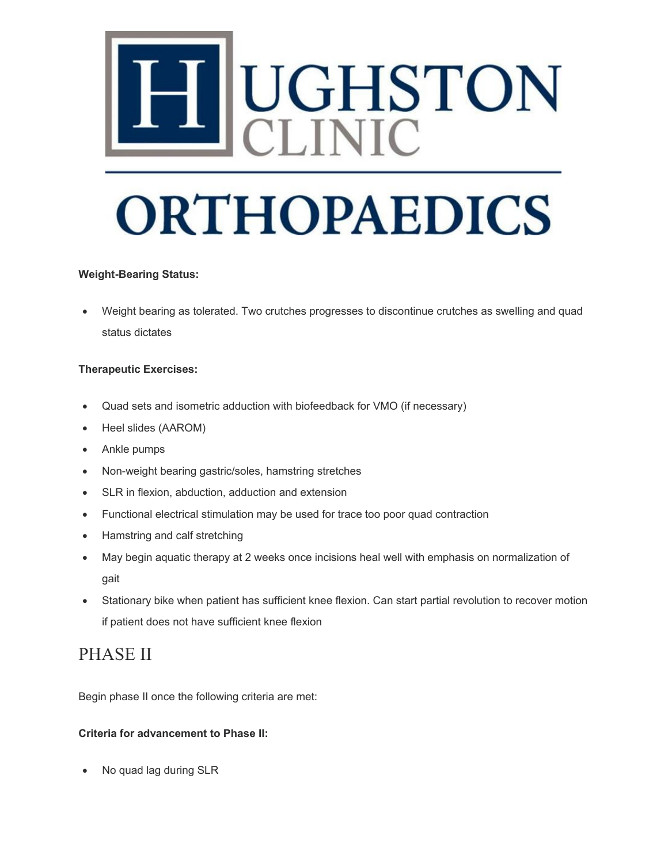# UGHSTON<br>CLINIC

# **ORTHOPAEDICS**

#### **Weight-Bearing Status:**

• Weight bearing as tolerated. Two crutches progresses to discontinue crutches as swelling and quad status dictates

#### **Therapeutic Exercises:**

- Quad sets and isometric adduction with biofeedback for VMO (if necessary)
- Heel slides (AAROM)
- Ankle pumps
- Non-weight bearing gastric/soles, hamstring stretches
- SLR in flexion, abduction, adduction and extension
- Functional electrical stimulation may be used for trace too poor quad contraction
- Hamstring and calf stretching
- May begin aquatic therapy at 2 weeks once incisions heal well with emphasis on normalization of gait
- Stationary bike when patient has sufficient knee flexion. Can start partial revolution to recover motion if patient does not have sufficient knee flexion

### PHASE II

Begin phase II once the following criteria are met:

#### **Criteria for advancement to Phase II:**

• No quad lag during SLR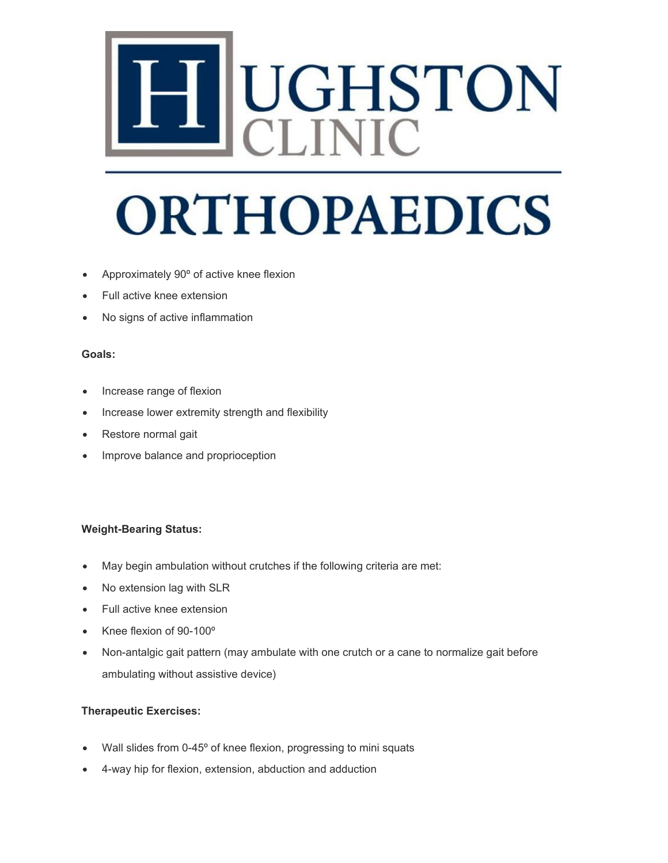# UGHSTON

## **ORTHOPAEDICS**

- Approximately 90º of active knee flexion
- Full active knee extension
- No signs of active inflammation

#### **Goals:**

- Increase range of flexion
- Increase lower extremity strength and flexibility
- Restore normal gait
- Improve balance and proprioception

#### **Weight-Bearing Status:**

- May begin ambulation without crutches if the following criteria are met:
- No extension lag with SLR
- Full active knee extension
- Knee flexion of 90-100º
- Non-antalgic gait pattern (may ambulate with one crutch or a cane to normalize gait before ambulating without assistive device)

#### **Therapeutic Exercises:**

- Wall slides from 0-45° of knee flexion, progressing to mini squats
- 4-way hip for flexion, extension, abduction and adduction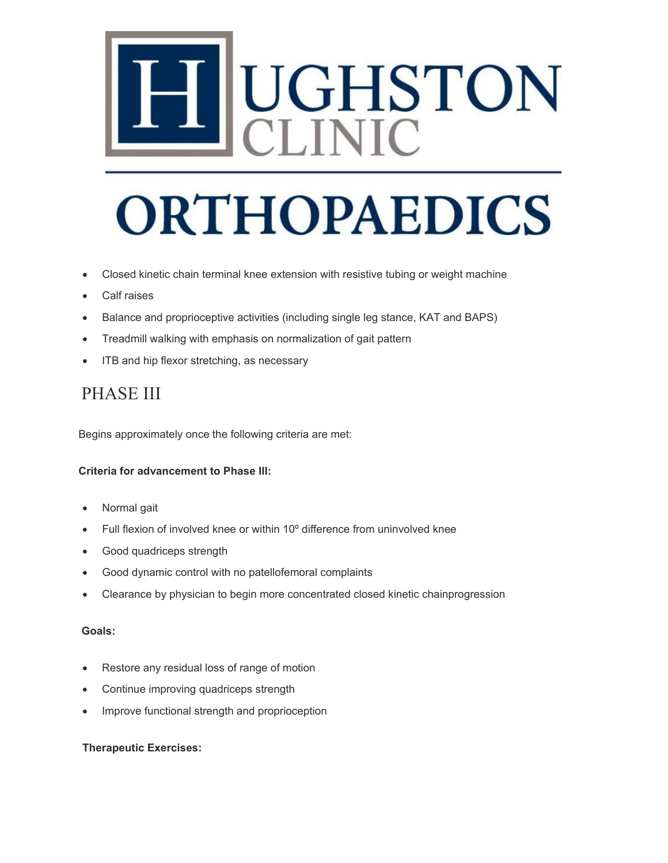# UGHSTON<br>CLINIC

## **ORTHOPAEDICS**

- Closed kinetic chain terminal knee extension with resistive tubing or weight machine
- Calf raises
- Balance and proprioceptive activities (including single leg stance, KAT and BAPS)
- Treadmill walking with emphasis on normalization of gait pattern
- ITB and hip flexor stretching, as necessary

### PHASE III

Begins approximately once the following criteria are met:

#### **Criteria for advancement to Phase III:**

- Normal gait
- Full flexion of involved knee or within 10º difference from uninvolved knee
- Good quadriceps strength
- Good dynamic control with no patellofemoral complaints
- Clearance by physician to begin more concentrated closed kinetic chainprogression

#### **Goals:**

- Restore any residual loss of range of motion
- Continue improving quadriceps strength
- Improve functional strength and proprioception

#### **Therapeutic Exercises:**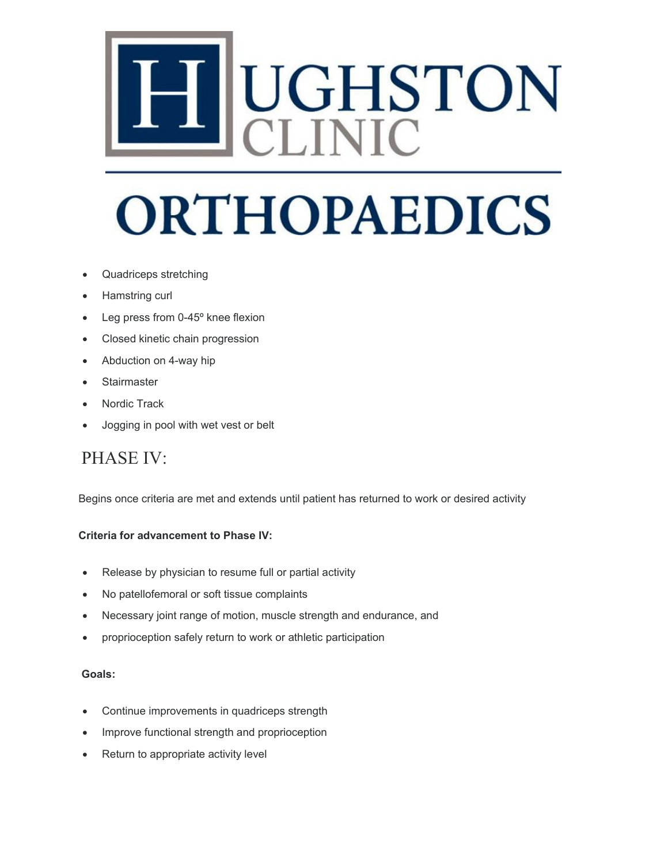# UGHSTON<br>CLINIC

# **ORTHOPAEDICS**

- Quadriceps stretching
- Hamstring curl
- Leg press from 0-45° knee flexion
- Closed kinetic chain progression
- Abduction on 4-way hip
- **Stairmaster**
- Nordic Track
- Jogging in pool with wet vest or belt

### PHASE IV:

Begins once criteria are met and extends until patient has returned to work or desired activity

#### **Criteria for advancement to Phase IV:**

- Release by physician to resume full or partial activity
- No patellofemoral or soft tissue complaints
- Necessary joint range of motion, muscle strength and endurance, and
- proprioception safely return to work or athletic participation

#### **Goals:**

- Continue improvements in quadriceps strength
- Improve functional strength and proprioception
- Return to appropriate activity level